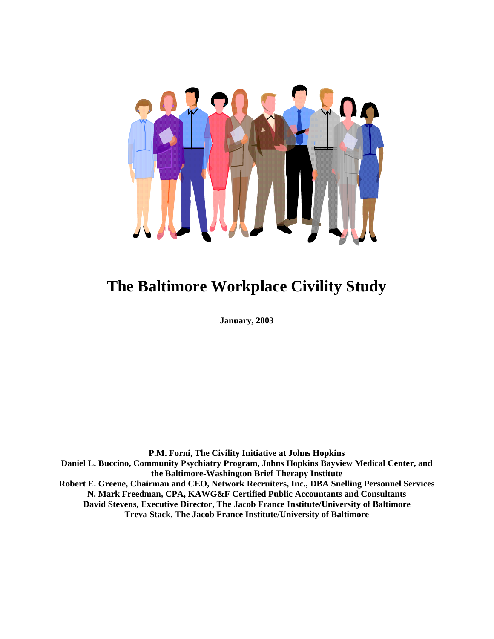

# **The Baltimore Workplace Civility Study**

**January, 2003** 

**P.M. Forni, The Civility Initiative at Johns Hopkins Daniel L. Buccino, Community Psychiatry Program, Johns Hopkins Bayview Medical Center, and the Baltimore-Washington Brief Therapy Institute Robert E. Greene, Chairman and CEO, Network Recruiters, Inc., DBA Snelling Personnel Services N. Mark Freedman, CPA, KAWG&F Certified Public Accountants and Consultants David Stevens, Executive Director, The Jacob France Institute/University of Baltimore Treva Stack, The Jacob France Institute/University of Baltimore**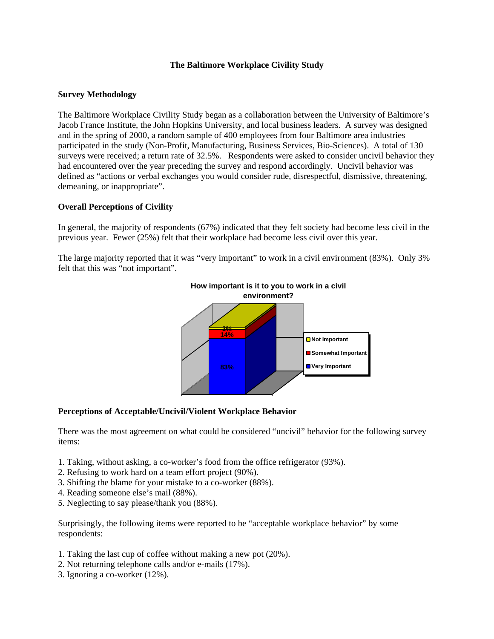## **The Baltimore Workplace Civility Study**

## **Survey Methodology**

The Baltimore Workplace Civility Study began as a collaboration between the University of Baltimore's Jacob France Institute, the John Hopkins University, and local business leaders. A survey was designed and in the spring of 2000, a random sample of 400 employees from four Baltimore area industries participated in the study (Non-Profit, Manufacturing, Business Services, Bio-Sciences). A total of 130 surveys were received; a return rate of 32.5%. Respondents were asked to consider uncivil behavior they had encountered over the year preceding the survey and respond accordingly. Uncivil behavior was defined as "actions or verbal exchanges you would consider rude, disrespectful, dismissive, threatening, demeaning, or inappropriate".

## **Overall Perceptions of Civility**

In general, the majority of respondents (67%) indicated that they felt society had become less civil in the previous year. Fewer (25%) felt that their workplace had become less civil over this year.

The large majority reported that it was "very important" to work in a civil environment (83%). Only 3% felt that this was "not important".



## **Perceptions of Acceptable/Uncivil/Violent Workplace Behavior**

There was the most agreement on what could be considered "uncivil" behavior for the following survey items:

- 1. Taking, without asking, a co-worker's food from the office refrigerator (93%).
- 2. Refusing to work hard on a team effort project (90%).
- 3. Shifting the blame for your mistake to a co-worker (88%).
- 4. Reading someone else's mail (88%).
- 5. Neglecting to say please/thank you (88%).

Surprisingly, the following items were reported to be "acceptable workplace behavior" by some respondents:

- 1. Taking the last cup of coffee without making a new pot (20%).
- 2. Not returning telephone calls and/or e-mails (17%).
- 3. Ignoring a co-worker (12%).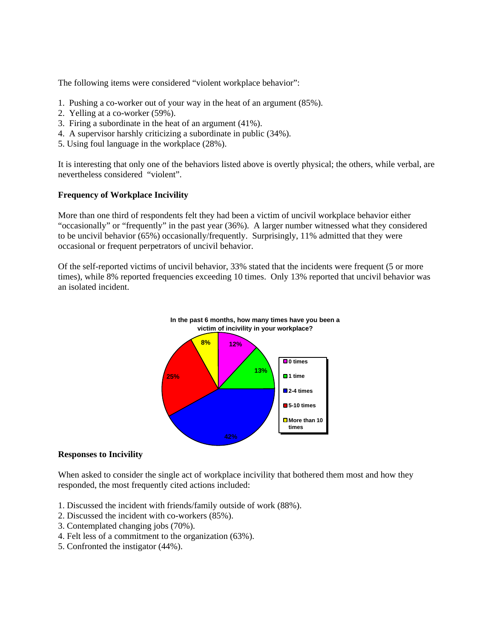The following items were considered "violent workplace behavior":

- 1. Pushing a co-worker out of your way in the heat of an argument (85%).
- 2. Yelling at a co-worker (59%).
- 3. Firing a subordinate in the heat of an argument (41%).
- 4. A supervisor harshly criticizing a subordinate in public (34%).
- 5. Using foul language in the workplace (28%).

It is interesting that only one of the behaviors listed above is overtly physical; the others, while verbal, are nevertheless considered "violent".

## **Frequency of Workplace Incivility**

More than one third of respondents felt they had been a victim of uncivil workplace behavior either "occasionally" or "frequently" in the past year (36%). A larger number witnessed what they considered to be uncivil behavior (65%) occasionally/frequently. Surprisingly, 11% admitted that they were occasional or frequent perpetrators of uncivil behavior.

Of the self-reported victims of uncivil behavior, 33% stated that the incidents were frequent (5 or more times), while 8% reported frequencies exceeding 10 times. Only 13% reported that uncivil behavior was an isolated incident.



### **Responses to Incivility**

When asked to consider the single act of workplace incivility that bothered them most and how they responded, the most frequently cited actions included:

- 1. Discussed the incident with friends/family outside of work (88%).
- 2. Discussed the incident with co-workers (85%).
- 3. Contemplated changing jobs (70%).
- 4. Felt less of a commitment to the organization (63%).
- 5. Confronted the instigator (44%).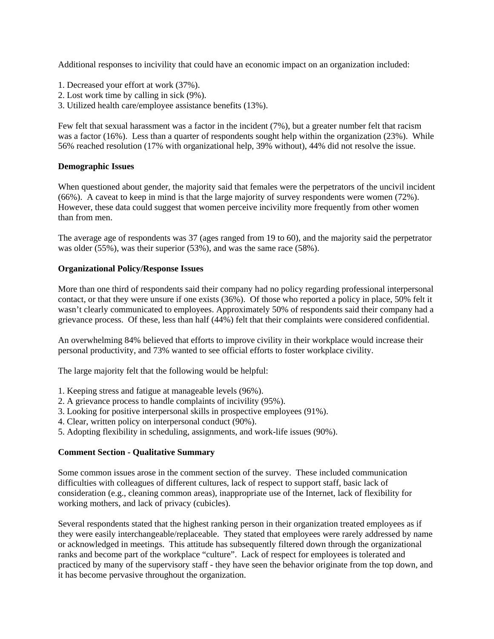Additional responses to incivility that could have an economic impact on an organization included:

- 1. Decreased your effort at work (37%).
- 2. Lost work time by calling in sick (9%).
- 3. Utilized health care/employee assistance benefits (13%).

Few felt that sexual harassment was a factor in the incident (7%), but a greater number felt that racism was a factor (16%). Less than a quarter of respondents sought help within the organization (23%). While 56% reached resolution (17% with organizational help, 39% without), 44% did not resolve the issue.

## **Demographic Issues**

When questioned about gender, the majority said that females were the perpetrators of the uncivil incident (66%). A caveat to keep in mind is that the large majority of survey respondents were women (72%). However, these data could suggest that women perceive incivility more frequently from other women than from men.

The average age of respondents was 37 (ages ranged from 19 to 60), and the majority said the perpetrator was older (55%), was their superior (53%), and was the same race (58%).

## **Organizational Policy/Response Issues**

More than one third of respondents said their company had no policy regarding professional interpersonal contact, or that they were unsure if one exists (36%). Of those who reported a policy in place, 50% felt it wasn't clearly communicated to employees. Approximately 50% of respondents said their company had a grievance process. Of these, less than half (44%) felt that their complaints were considered confidential.

An overwhelming 84% believed that efforts to improve civility in their workplace would increase their personal productivity, and 73% wanted to see official efforts to foster workplace civility.

The large majority felt that the following would be helpful:

- 1. Keeping stress and fatigue at manageable levels (96%).
- 2. A grievance process to handle complaints of incivility (95%).
- 3. Looking for positive interpersonal skills in prospective employees (91%).
- 4. Clear, written policy on interpersonal conduct (90%).
- 5. Adopting flexibility in scheduling, assignments, and work-life issues (90%).

## **Comment Section - Qualitative Summary**

Some common issues arose in the comment section of the survey. These included communication difficulties with colleagues of different cultures, lack of respect to support staff, basic lack of consideration (e.g., cleaning common areas), inappropriate use of the Internet, lack of flexibility for working mothers, and lack of privacy (cubicles).

Several respondents stated that the highest ranking person in their organization treated employees as if they were easily interchangeable/replaceable. They stated that employees were rarely addressed by name or acknowledged in meetings. This attitude has subsequently filtered down through the organizational ranks and become part of the workplace "culture". Lack of respect for employees is tolerated and practiced by many of the supervisory staff - they have seen the behavior originate from the top down, and it has become pervasive throughout the organization.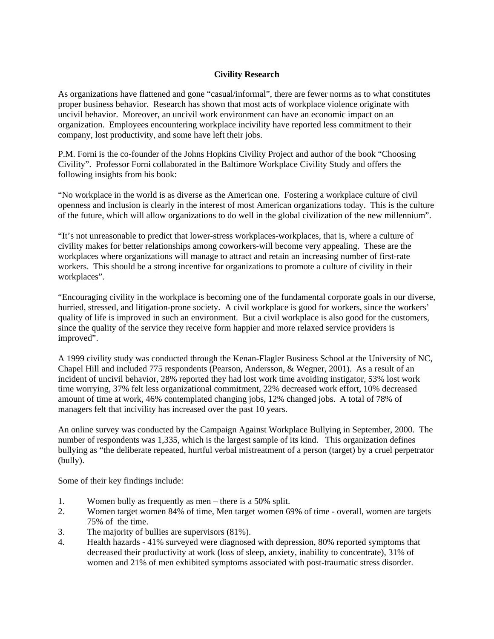## **Civility Research**

As organizations have flattened and gone "casual/informal", there are fewer norms as to what constitutes proper business behavior. Research has shown that most acts of workplace violence originate with uncivil behavior. Moreover, an uncivil work environment can have an economic impact on an organization. Employees encountering workplace incivility have reported less commitment to their company, lost productivity, and some have left their jobs.

P.M. Forni is the co-founder of the Johns Hopkins Civility Project and author of the book "Choosing Civility". Professor Forni collaborated in the Baltimore Workplace Civility Study and offers the following insights from his book:

"No workplace in the world is as diverse as the American one. Fostering a workplace culture of civil openness and inclusion is clearly in the interest of most American organizations today. This is the culture of the future, which will allow organizations to do well in the global civilization of the new millennium".

"It's not unreasonable to predict that lower-stress workplaces-workplaces, that is, where a culture of civility makes for better relationships among coworkers-will become very appealing. These are the workplaces where organizations will manage to attract and retain an increasing number of first-rate workers. This should be a strong incentive for organizations to promote a culture of civility in their workplaces".

"Encouraging civility in the workplace is becoming one of the fundamental corporate goals in our diverse, hurried, stressed, and litigation-prone society. A civil workplace is good for workers, since the workers' quality of life is improved in such an environment. But a civil workplace is also good for the customers, since the quality of the service they receive form happier and more relaxed service providers is improved".

A 1999 civility study was conducted through the Kenan-Flagler Business School at the University of NC, Chapel Hill and included 775 respondents (Pearson, Andersson, & Wegner, 2001). As a result of an incident of uncivil behavior, 28% reported they had lost work time avoiding instigator, 53% lost work time worrying, 37% felt less organizational commitment, 22% decreased work effort, 10% decreased amount of time at work, 46% contemplated changing jobs, 12% changed jobs. A total of 78% of managers felt that incivility has increased over the past 10 years.

An online survey was conducted by the Campaign Against Workplace Bullying in September, 2000. The number of respondents was 1,335, which is the largest sample of its kind. This organization defines bullying as "the deliberate repeated, hurtful verbal mistreatment of a person (target) by a cruel perpetrator (bully).

Some of their key findings include:

- 1. Women bully as frequently as men there is a 50% split.
- 2. Women target women 84% of time, Men target women 69% of time overall, women are targets 75% of the time.
- 3. The majority of bullies are supervisors (81%).
- 4. Health hazards 41% surveyed were diagnosed with depression, 80% reported symptoms that decreased their productivity at work (loss of sleep, anxiety, inability to concentrate), 31% of women and 21% of men exhibited symptoms associated with post-traumatic stress disorder.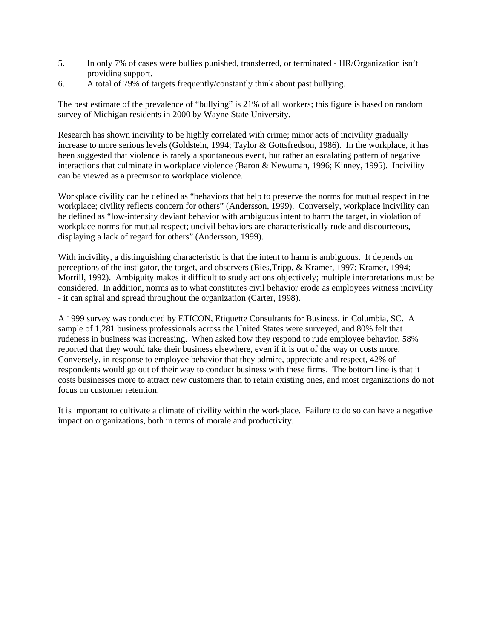- 5. In only 7% of cases were bullies punished, transferred, or terminated HR/Organization isn't providing support.
- 6. A total of 79% of targets frequently/constantly think about past bullying.

The best estimate of the prevalence of "bullying" is 21% of all workers; this figure is based on random survey of Michigan residents in 2000 by Wayne State University.

Research has shown incivility to be highly correlated with crime; minor acts of incivility gradually increase to more serious levels (Goldstein, 1994; Taylor & Gottsfredson, 1986). In the workplace, it has been suggested that violence is rarely a spontaneous event, but rather an escalating pattern of negative interactions that culminate in workplace violence (Baron & Newuman, 1996; Kinney, 1995). Incivility can be viewed as a precursor to workplace violence.

Workplace civility can be defined as "behaviors that help to preserve the norms for mutual respect in the workplace; civility reflects concern for others" (Andersson, 1999). Conversely, workplace incivility can be defined as "low-intensity deviant behavior with ambiguous intent to harm the target, in violation of workplace norms for mutual respect; uncivil behaviors are characteristically rude and discourteous, displaying a lack of regard for others" (Andersson, 1999).

With incivility, a distinguishing characteristic is that the intent to harm is ambiguous. It depends on perceptions of the instigator, the target, and observers (Bies,Tripp, & Kramer, 1997; Kramer, 1994; Morrill, 1992). Ambiguity makes it difficult to study actions objectively; multiple interpretations must be considered. In addition, norms as to what constitutes civil behavior erode as employees witness incivility - it can spiral and spread throughout the organization (Carter, 1998).

A 1999 survey was conducted by ETICON, Etiquette Consultants for Business, in Columbia, SC. A sample of 1,281 business professionals across the United States were surveyed, and 80% felt that rudeness in business was increasing. When asked how they respond to rude employee behavior, 58% reported that they would take their business elsewhere, even if it is out of the way or costs more. Conversely, in response to employee behavior that they admire, appreciate and respect, 42% of respondents would go out of their way to conduct business with these firms. The bottom line is that it costs businesses more to attract new customers than to retain existing ones, and most organizations do not focus on customer retention.

It is important to cultivate a climate of civility within the workplace. Failure to do so can have a negative impact on organizations, both in terms of morale and productivity.